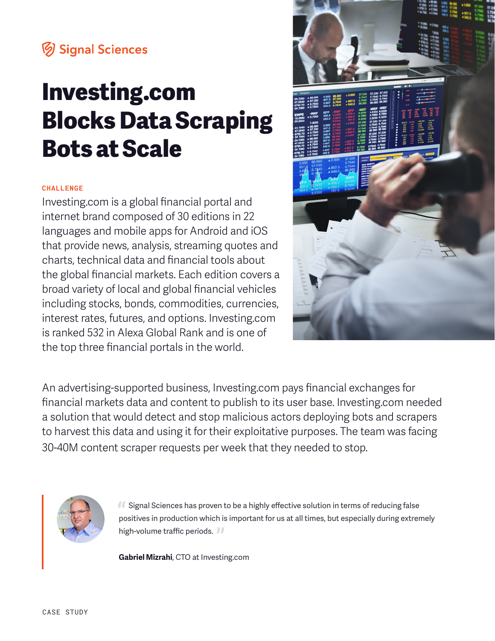# **V** Signal Sciences

# **Investing.com Blocks Data Scraping Bots at Scale**

### **CHALLENGE**

Investing.com is a global financial portal and internet brand composed of 30 editions in 22 languages and mobile apps for Android and iOS that provide news, analysis, streaming quotes and charts, technical data and financial tools about the global financial markets. Each edition covers a broad variety of local and global financial vehicles including stocks, bonds, commodities, currencies, interest rates, futures, and options. Investing.com is ranked 532 in Alexa Global Rank and is one of the top three financial portals in the world.



An advertising-supported business, Investing.com pays financial exchanges for financial markets data and content to publish to its user base. Investing.com needed a solution that would detect and stop malicious actors deploying bots and scrapers to harvest this data and using it for their exploitative purposes. The team was facing 30-40M content scraper requests per week that they needed to stop.



**"**Signal Sciences has proven to be a highly effective solution in terms of reducing false positives in production which is important for us at all times, but especially during extremely high-volume traffic periods. **"**

**Gabriel Mizrahi**, CTO at Investing.com